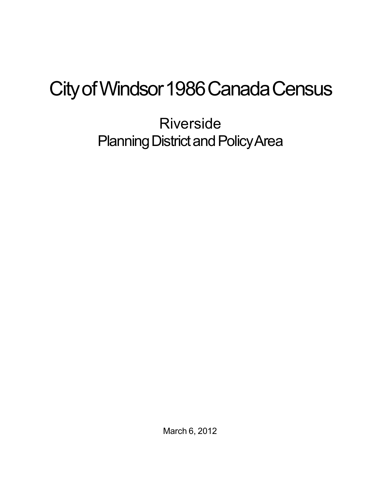## City of Windsor 1986 Canada Census

Riverside Planning District and Policy Area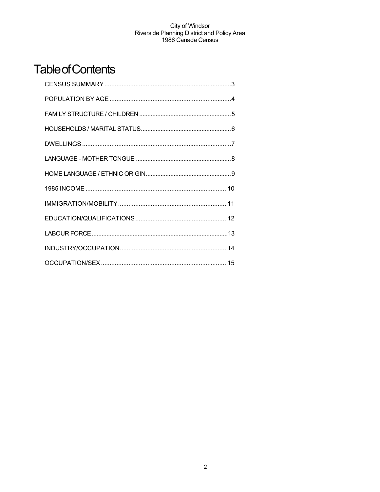## **Table of Contents**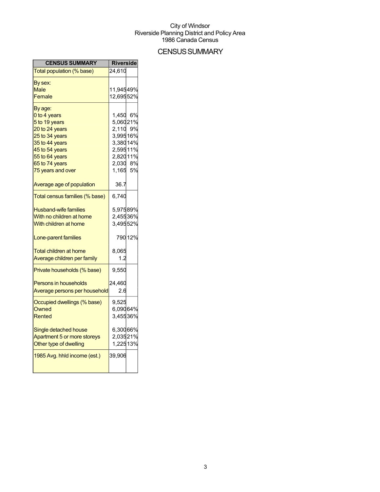## **CENSUS SUMMARY**

| <b>CENSUS SUMMARY</b>          | <b>Riverside</b> |         |
|--------------------------------|------------------|---------|
| Total population (% base)      | 24,610           |         |
| By sex:                        |                  |         |
| Male                           | 11,94549%        |         |
| Female                         | 12,69552%        |         |
| By age:                        |                  |         |
| 0 to 4 years                   | 1,450 6%         |         |
| 5 to 19 years                  | 5,06021%         |         |
| 20 to 24 years                 | 2,110 9%         |         |
| 25 to 34 years                 | 3,99516%         |         |
| 35 to 44 years                 | 3,38014%         |         |
| 45 to 54 years                 | 2,59511%         |         |
| 55 to 64 years                 | 2,82011%         |         |
| 65 to 74 years                 | 2,030 8%         |         |
| 75 years and over              | 1,165 5%         |         |
| Average age of population      | 36.7             |         |
| Total census families (% base) | 6,740            |         |
| <b>Husband-wife families</b>   | 5,97589%         |         |
| With no children at home       | 2,45536%         |         |
| With children at home          | 3,49552%         |         |
| Lone-parent families           |                  | 790 12% |
| <b>Total children at home</b>  | 8,065            |         |
| Average children per family    | 1.2              |         |
| Private households (% base)    | 9,550            |         |
| <b>Persons in households</b>   | 24,460           |         |
| Average persons per household  | 2.6              |         |
| Occupied dwellings (% base)    | 9,525            |         |
| Owned                          | 6,09064%         |         |
| Rented                         | 3,45536%         |         |
| Single detached house          | 6,30066%         |         |
| Apartment 5 or more storeys    | 2,03521%         |         |
| Other type of dwelling         | 1,22513%         |         |
| 1985 Avg. hhld income (est.)   | 39,906           |         |
|                                |                  |         |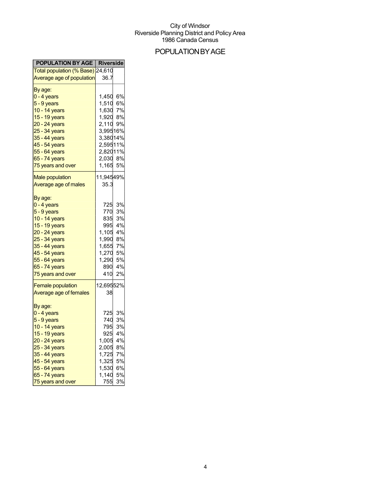## POPULATIONBYAGE

| <b>POPULATION BY AGE   Riverside</b>                                                                                                                                                               |                                                                                                                      |                                                                |
|----------------------------------------------------------------------------------------------------------------------------------------------------------------------------------------------------|----------------------------------------------------------------------------------------------------------------------|----------------------------------------------------------------|
| <mark>Total population (% Base)</mark> 24,610                                                                                                                                                      |                                                                                                                      |                                                                |
| Average age of population                                                                                                                                                                          | 36.7                                                                                                                 |                                                                |
| By age:<br>0 - 4 years<br>5 - 9 years<br>10 - 14 years<br>15 - 19 years<br>20 - 24 years<br>25 - 34 years<br>35 - 44 years<br>45 - 54 years<br>55 - 64 years<br>65 - 74 years<br>75 years and over | 1,450 6%<br>1,510<br>1,630<br>1,920<br>2,110 9%<br>3,99516%<br>3,38014%<br>2,59511%<br>2,82011%<br>2,030 8%<br>1,165 | 6%<br>7%<br>8%<br>5%                                           |
| <b>Male population</b><br>Average age of males                                                                                                                                                     | 11,94549%<br>35.3                                                                                                    |                                                                |
| By age:<br>0 - 4 years<br>5 - 9 years<br>10 - 14 years<br>15 - 19 years<br>20 - 24 years<br>25 - 34 years<br>35 - 44 years<br>45 - 54 years<br>55 - 64 years<br>65 - 74 years<br>75 years and over | 725<br>770<br>835<br>995<br>1,105 4%<br>1,990<br>1,655<br>1,270<br>1,290<br>890<br>410                               | 3%<br>3%<br>3%<br>4%<br>8%<br>7%<br>5%<br>5%<br>4%<br>2%       |
| <b>Female population</b><br>Average age of females                                                                                                                                                 | 12,69552%<br>38                                                                                                      |                                                                |
| By age:<br>0 - 4 years<br>5 - 9 years<br>10 - 14 years<br>15 - 19 years<br>20 - 24 years<br>25 - 34 years<br>35 - 44 years<br>45 - 54 years<br>55 - 64 years<br>65 - 74 years<br>75 years and over | 725<br>740<br>795<br>925<br>1,005<br>2,005<br>1,725<br>1,325<br>1,530<br>1,140<br>755                                | 3%<br>3%<br>3%<br>4%<br>4%<br>8%<br>7%<br>5%<br>6%<br>5%<br>3% |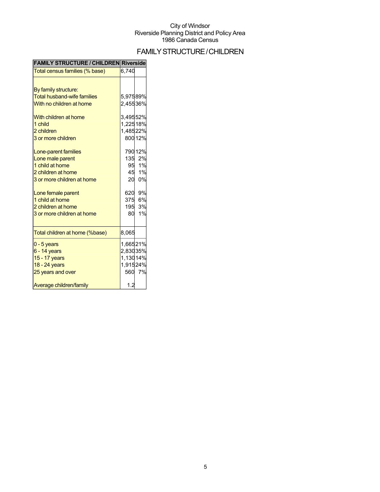## FAMILYSTRUCTURE/CHILDREN

| <b>FAMILY STRUCTURE / CHILDREN Riverside</b> |          |         |
|----------------------------------------------|----------|---------|
| Total census families (% base)               | 6,740    |         |
|                                              |          |         |
| By family structure:                         |          |         |
| <b>Total husband-wife families</b>           | 5,97589% |         |
| With no children at home                     | 2,45536% |         |
| With children at home                        | 3,49552% |         |
| 1 child                                      | 1,22518% |         |
| 2 children                                   | 1,48522% |         |
| 3 or more children                           |          | 800 12% |
| Lone-parent families                         |          | 790 12% |
| Lone male parent                             | 135      | 2%      |
| 1 child at home                              |          | 95 1%   |
| 2 children at home                           | 45       | 1%      |
| 3 or more children at home                   | 20       | 0%      |
| Lone female parent                           | 620      | 9%      |
| 1 child at home                              | 375      | 6%      |
| 2 children at home                           | 195      | 3%      |
| 3 or more children at home                   | 80       | 1%      |
| Total children at home (%base)               | 8,065    |         |
| $0 - 5$ years                                | 1,66521% |         |
| $6 - 14$ years                               | 2,83035% |         |
| 15 - 17 years                                | 1,13014% |         |
| 18 - 24 years                                | 1,91524% |         |
| 25 years and over                            |          | 560 7%  |
| Average children/family                      | 1.2      |         |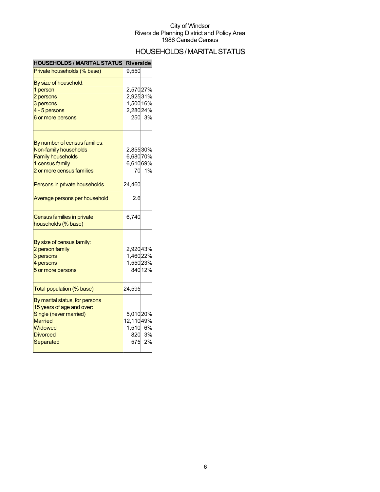## HOUSEHOLDS/MARITALSTATUS

| <b>HOUSEHOLDS / MARITAL STATUS</b> | <b>Riverside</b> |        |
|------------------------------------|------------------|--------|
| Private households (% base)        | 9,550            |        |
| By size of household:              |                  |        |
| 1 person                           | 2,57027%         |        |
| 2 persons                          | 2,92531%         |        |
| 3 persons                          | 1,50016%         |        |
| 4 - 5 persons                      | 2,28024%         |        |
| 6 or more persons                  |                  | 250 3% |
| By number of census families:      |                  |        |
| Non-family households              | 2,85530%         |        |
| <b>Family households</b>           | 6,68070%         |        |
| 1 census family                    | 6,61069%         |        |
| 2 or more census families          |                  | 70 1%  |
|                                    |                  |        |
| Persons in private households      | 24,460           |        |
| Average persons per household      | 2.6              |        |
| Census families in private         | 6,740            |        |
| households (% base)                |                  |        |
| By size of census family:          |                  |        |
| 2 person family                    | 2,92043%         |        |
| 3 persons                          | 1,46022%         |        |
| 4 persons                          | 1,55023%         |        |
|                                    |                  | 84012% |
| 5 or more persons                  |                  |        |
| Total population (% base)          | 24,595           |        |
| By marital status, for persons     |                  |        |
| 15 years of age and over:          |                  |        |
| Single (never married)             | 5,01020%         |        |
| <b>Married</b>                     | 12,11049%        |        |
| Widowed                            | 1,510 6%         |        |
| <b>Divorced</b>                    |                  | 820 3% |
| Separated                          |                  | 575 2% |
|                                    |                  |        |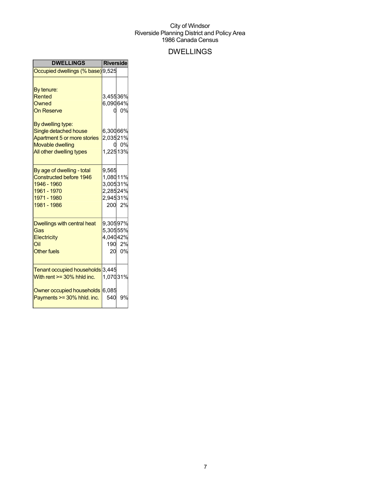## DWELLINGS

| <b>DWELLINGS</b>                                                                                                                                                                       | <b>Riverside</b>                                              |                 |
|----------------------------------------------------------------------------------------------------------------------------------------------------------------------------------------|---------------------------------------------------------------|-----------------|
| Occupied dwellings (% base) 9,525                                                                                                                                                      |                                                               |                 |
| By tenure:<br>Rented<br>Owned<br><b>On Reserve</b><br>By dwelling type:<br>Single detached house<br>Apartment 5 or more stories<br><b>Movable dwelling</b><br>All other dwelling types | 3,45536%<br>6,09064%<br>n<br>6,30066%<br>2,03521%<br>1,22513% | 0%<br>0.0%      |
| By age of dwelling - total<br><b>Constructed before 1946</b><br>1946 - 1960<br>1961 - 1970<br>1971 - 1980<br>1981 - 1986                                                               | 9,565<br>1,08011%<br>3,00531%<br>2,28524%<br>2,94531%         | 200 2%          |
| Dwellings with central heat<br>Gas<br>Electricity<br>Oil<br><b>Other fuels</b>                                                                                                         | 9,30597%<br>5,30555%<br>4,04042%                              | 190 2%<br>20 0% |
| Tenant occupied households 3,445<br>With rent $>=$ 30% hhid inc.                                                                                                                       | 1,07031%                                                      |                 |
| Owner occupied households 6,085<br>Payments >= 30% hhld. inc.                                                                                                                          | 540                                                           | 9%              |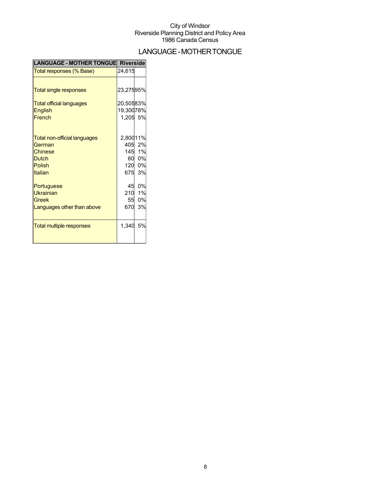## LANGUAGE-MOTHERTONGUE

| LANGUAGE - MOTHER TONGUE Riverside  |           |        |
|-------------------------------------|-----------|--------|
| Total responses (% Base)            | 24,615    |        |
|                                     |           |        |
| <b>Total single responses</b>       | 23,27595% |        |
| <b>Total official languages</b>     | 20,50583% |        |
| <b>English</b>                      | 19,30078% |        |
| French                              | 1,205 5%  |        |
|                                     |           |        |
| <b>Total non-official languages</b> | 2,80011%  |        |
| German                              |           | 405 2% |
| <b>Chinese</b>                      |           | 145 1% |
| <b>Dutch</b>                        | 60        | 0%     |
| <b>Polish</b>                       | 120       | 0%     |
| Italian                             | 675       | 3%     |
| Portuguese                          | 45        | 0%     |
| <b>Ukrainian</b>                    |           | 210 1% |
| Greek                               | 55        | 0%     |
| Languages other than above          | 670       | 3%     |
|                                     |           |        |
| <b>Total multiple responses</b>     | 1,340     | 5%     |
|                                     |           |        |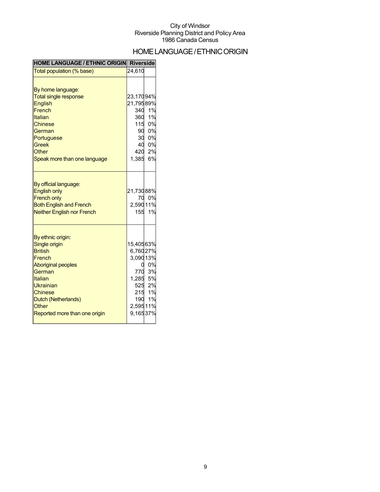## HOMELANGUAGE/ETHNICORIGIN

| <b>HOME LANGUAGE / ETHNIC ORIGIN Riverside</b>                                                                                                                                                                   |                                                                           |                                                     |
|------------------------------------------------------------------------------------------------------------------------------------------------------------------------------------------------------------------|---------------------------------------------------------------------------|-----------------------------------------------------|
| Total population (% base)                                                                                                                                                                                        | 24,610                                                                    |                                                     |
| By home language:<br><b>Total single response</b><br><b>English</b><br>French<br>Italian<br><b>Chinese</b><br>German<br>Portuguese<br><b>Greek</b><br>Other<br>Speak more than one language                      | 23,17094%<br>21,79589%<br>340<br>360<br>$420$<br>1,385 6%                 | 1%<br>1%<br>115 0%<br>90 0%<br>30 0%<br>40 0%<br>2% |
| By official language:<br><b>English only</b><br><b>French only</b><br><b>Both English and French</b><br><b>Neither English nor French</b>                                                                        | 21,73088%<br>2,59011%                                                     | 70 0%<br>155 1%                                     |
| By ethnic origin:<br>Single origin<br><b>British</b><br>French<br><b>Aboriginal peoples</b><br>German<br>Italian<br>Ukrainian<br><b>Chinese</b><br>Dutch (Netherlands)<br>Other<br>Reported more than one origin | 15,40563%<br>6,76027%<br>3,09013%<br>770<br>1,285<br>2,59511%<br>9,16537% | 0%<br>3%<br>5%<br>525 2%<br>215 1%<br>190 1%        |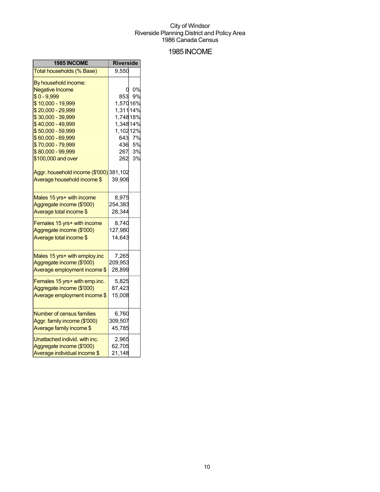### 1985INCOME

| 1985 INCOME                                            | <b>Riverside</b> |    |
|--------------------------------------------------------|------------------|----|
| Total households (% Base)                              | 9,550            |    |
| By household income:                                   |                  |    |
| <b>Negative Income</b>                                 |                  | 0% |
| $$0 - 9,999$                                           | 853              | 9% |
| \$10,000 - 19,999                                      | 1,57016%         |    |
| \$20,000 - 29,999                                      | 1,311 14%        |    |
| \$30,000 - 39,999                                      | 1,74818%         |    |
| \$40,000 - 49,999                                      | 1,34814%         |    |
| \$50,000 - 59,999                                      | 1,10212%         |    |
| \$60,000 - 69,999                                      | 643              | 7% |
| \$70,000 - 79,999                                      | 436              | 5% |
| \$80,000 - 99,999                                      | 267              | 3% |
| \$100,000 and over                                     | 262              | 3% |
| Aggr. household income (\$'000) 381,102                |                  |    |
| Average household income \$                            | 39,906           |    |
|                                                        |                  |    |
| Males 15 yrs+ with income<br>Aggregate income (\$'000) | 8,975<br>254,383 |    |
| Average total income \$                                | 28,344           |    |
|                                                        |                  |    |
| Females 15 yrs+ with income                            | 8,740            |    |
| Aggregate income (\$'000)                              | 127,980          |    |
| Average total income \$                                | 14,643           |    |
| Males 15 yrs+ with employ.inc                          | 7,265            |    |
| Aggregate income (\$'000)                              | 209,953          |    |
| Average employment income \$                           | 28,899           |    |
|                                                        |                  |    |
| Females 15 yrs+ with emp.inc.                          | 5,825            |    |
| Aggregate income (\$'000)                              | 87,423           |    |
| Average employment income \$                           | 15,008           |    |
| <b>Number of census families</b>                       | 6,760            |    |
| Aggr. family income (\$'000)                           | 309,507          |    |
| Average family income \$                               | 45,785           |    |
| Unattached individ. with inc.                          | 2,965            |    |
| Aggregate income (\$'000)                              | 62,705           |    |
| Average individual income \$                           | 21,148           |    |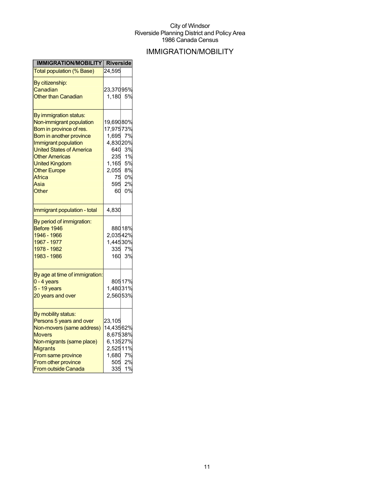## IMMIGRATION/MOBILITY

| IMMIGRATION/MOBILITY Riverside                  |           |          |
|-------------------------------------------------|-----------|----------|
| <b>Total population (% Base)</b>                | 24,595    |          |
| By citizenship:                                 |           |          |
| Canadian                                        | 23,37095% |          |
| <b>Other than Canadian</b>                      | 1,180     | 5%       |
|                                                 |           |          |
| By immigration status:                          |           |          |
| Non-immigrant population                        | 19,69080% |          |
| Born in province of res.                        | 17,97573% |          |
| Born in another province                        | 1,695     | 7%       |
| Immigrant population                            | 4,83020%  |          |
| <b>United States of America</b>                 | 640       | 3%       |
| <b>Other Americas</b>                           | 235       | 1%       |
| <b>United Kingdom</b>                           | 1,165     | 5%       |
| <b>Other Europe</b>                             | 2,055     | 8%       |
| Africa                                          | 75        | 0%       |
| Asia                                            | 595       | 2%<br>0% |
| Other                                           | 60        |          |
| Immigrant population - total                    | 4,830     |          |
| By period of immigration:                       |           |          |
| Before 1946                                     |           | 88018%   |
| 1946 - 1966                                     | 2,03542%  |          |
| 1967 - 1977                                     | 1,44530%  |          |
| 1978 - 1982                                     | 335       | 7%       |
| 1983 - 1986                                     | 160       | 3%       |
|                                                 |           |          |
| By age at time of immigration:<br>$0 - 4$ years |           | 80517%   |
| 5 - 19 years                                    | 1,48031%  |          |
| 20 years and over                               | 2,56053%  |          |
|                                                 |           |          |
| By mobility status:                             |           |          |
| Persons 5 years and over                        | 23,105    |          |
| Non-movers (same address)                       | 14,43562% |          |
| <b>Movers</b>                                   | 8,67538%  |          |
| Non-migrants (same place)                       | 6,13527%  |          |
| <b>Migrants</b>                                 | 2,52511%  |          |
| From same province                              | 1,680     | 7%       |
| From other province                             | 505       | 2%       |
| From outside Canada                             | 335       | 1%       |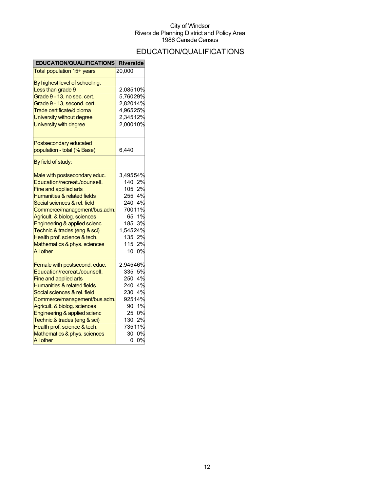## EDUCATION/QUALIFICATIONS

| <b>EDUCATION/QUALIFICATIONS</b> | <b>Riverside</b> |                  |
|---------------------------------|------------------|------------------|
| Total population 15+ years      | 20,000           |                  |
| By highest level of schooling:  |                  |                  |
| Less than grade 9               | 2,08510%         |                  |
| Grade 9 - 13, no sec. cert.     | 5,76029%         |                  |
| Grade 9 - 13, second. cert.     | 2,82014%         |                  |
| Trade certificate/diploma       | 4,96525%         |                  |
| University without degree       | 2,34512%         |                  |
| University with degree          | 2,000 10%        |                  |
| Postsecondary educated          |                  |                  |
| population - total (% Base)     | 6,440            |                  |
| By field of study:              |                  |                  |
| Male with postsecondary educ.   | 3,49554%         |                  |
| Education/recreat./counsell.    |                  | 140 2%           |
| <b>Fine and applied arts</b>    |                  | 105 2%           |
| Humanities & related fields     |                  | 255 4%<br>240 4% |
| Social sciences & rel. field    |                  |                  |
| Commerce/management/bus.adm.    |                  | 70011%           |
| Agricult. & biolog. sciences    |                  | 65 1%            |
| Engineering & applied scienc    | 185              | 3%               |
| Technic.& trades (eng & sci)    | 1,54524%         |                  |
| Health prof. science & tech.    | 135              | 2%               |
| Mathematics & phys. sciences    | 115              | 2%               |
| <b>All other</b>                | 10               | 0%               |
| Female with postsecond. educ.   | 2,94546%         |                  |
| Education/recreat./counsell.    | 335              | 5%               |
| Fine and applied arts           |                  | 250 4%           |
| Humanities & related fields     |                  | 240 4%           |
| Social sciences & rel. field    | 230              | 4%               |
| Commerce/management/bus.adm.    |                  | 92514%           |
| Agricult. & biolog. sciences    | 90               | 1%               |
| Engineering & applied scienc    | 25               | 0%               |
| Technic.& trades (eng & sci)    | 130              | 2%               |
| Health prof. science & tech.    |                  | 73511%           |
| Mathematics & phys. sciences    | 30               | 0%               |
| <b>All other</b>                | u                | 0%               |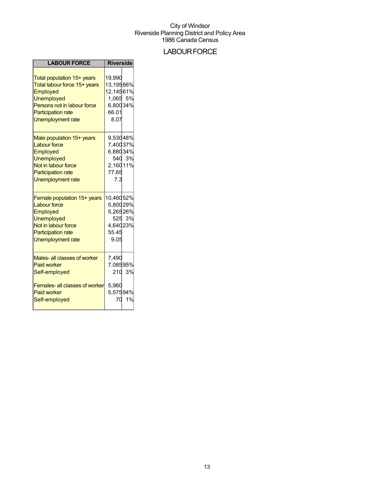### **LABOUR FORCE**

| <b>LABOUR FORCE</b>                                                                                                                                                                 | <b>Riverside</b>                                                          |        |
|-------------------------------------------------------------------------------------------------------------------------------------------------------------------------------------|---------------------------------------------------------------------------|--------|
| Total population 15+ years<br>Total labour force 15+ years<br>Employed<br><b>Unemployed</b><br>Persons not in labour force<br><b>Participation rate</b><br><b>Unemployment rate</b> | 19.990<br>13,19566%<br>12,14561%<br>1,065 5%<br>6,80034%<br>66.01<br>8.07 |        |
| Male population 15+ years<br><b>Labour force</b><br>Employed<br><b>Unemployed</b><br>Not in labour force<br><b>Participation rate</b><br>Unemployment rate                          | 9,53048%<br>7,40037%<br>6,88034%<br>2,16011%<br>77.65<br>7.3              | 540 3% |
| Female population 15+ years<br><b>Labour force</b><br>Employed<br><b>Unemployed</b><br>Not in labour force<br><b>Participation rate</b><br><b>Unemployment rate</b>                 | 10,46052%<br>5,80029%<br>5,26526%<br>4,64023%<br>55.45<br>9.05            | 525 3% |
| Males- all classes of worker<br><b>Paid worker</b><br>Self-employed                                                                                                                 | 7,490<br>7,08595%                                                         | 210 3% |
| Females-all classes of worker<br><b>Paid worker</b><br>Self-employed                                                                                                                | 5,960<br>5,57594%<br>70                                                   | 1%     |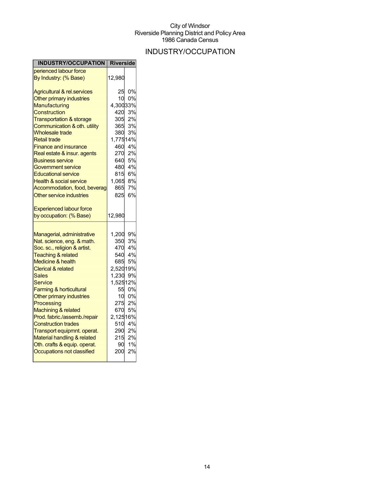## INDUSTRY/OCCUPATION

| <b>INDUSTRY/OCCUPATION   Riverside</b>                     |              |                 |
|------------------------------------------------------------|--------------|-----------------|
| perienced labour force                                     |              |                 |
| By Industry: (% Base)                                      | 12,980       |                 |
| <b>Agricultural &amp; rel.services</b>                     | 25           | 0%              |
| Other primary industries                                   | 10           | 0%              |
| <b>Manufacturing</b>                                       | 4,30033%     |                 |
| Construction                                               | 420          | 3%              |
| <b>Transportation &amp; storage</b>                        | 305          | 2%              |
| Communication & oth. utility                               | 365          | 3%              |
| <b>Wholesale trade</b>                                     | 380          | 3%              |
| <b>Retail trade</b>                                        | 1,77514%     |                 |
| <b>Finance and insurance</b>                               | 460          | 4%              |
| Real estate & insur. agents                                | 270          | 2%              |
| <b>Business service</b>                                    | 640          | 5%              |
| Government service                                         |              | 480 4%          |
| <b>Educational service</b>                                 | 815          | 6%              |
| <b>Health &amp; social service</b>                         |              | 8%              |
| Accommodation, food, beverag                               | 1,065<br>865 | 7%              |
| Other service industries                                   | 825          | 6%              |
| <b>Experienced labour force</b>                            |              |                 |
| by occupation: (% Base)                                    | 12,980       |                 |
|                                                            |              |                 |
|                                                            |              |                 |
| Managerial, administrative                                 | 1,200        | 9%              |
| Nat. science, eng. & math.                                 | 350          | 3%              |
| Soc. sc., religion & artist.                               | 470          | 4%              |
| <b>Teaching &amp; related</b>                              | 540          | 4%              |
| Medicine & health                                          | 685          | 5%              |
| <b>Clerical &amp; related</b>                              | 2,52019%     |                 |
| Sales                                                      | 1,230        | 9%              |
| Service                                                    | 1,52512%     | 0%              |
| Farming & horticultural                                    | 55           |                 |
| Other primary industries                                   | 10           | 0%              |
| Processing                                                 | 275<br>670   | 2%<br><b>5%</b> |
| Machining & related                                        |              |                 |
| Prod. fabric./assemb./repair<br><b>Construction trades</b> | 2,12516%     | 510 4%          |
| Transport equipmnt. operat.                                |              | 2%              |
| Material handling & related                                | 290          | 2%              |
| Oth. crafts & equip. operat.                               | 215<br>90    | 1%              |
| Occupations not classified                                 | 200          | 2%              |